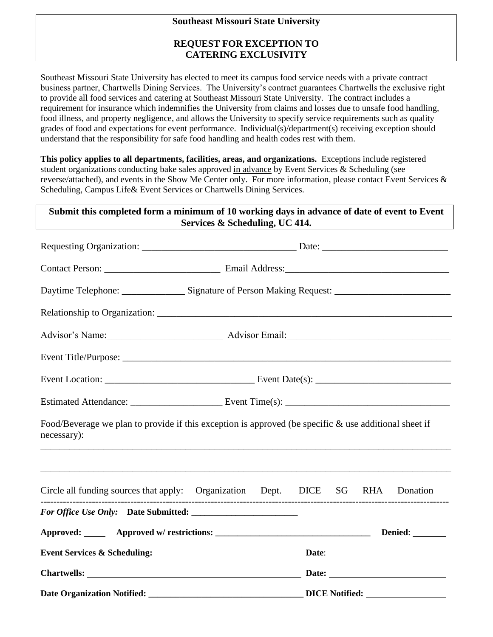## **Southeast Missouri State University**

## **REQUEST FOR EXCEPTION TO CATERING EXCLUSIVITY**

Southeast Missouri State University has elected to meet its campus food service needs with a private contract business partner, Chartwells Dining Services. The University's contract guarantees Chartwells the exclusive right to provide all food services and catering at Southeast Missouri State University. The contract includes a requirement for insurance which indemnifies the University from claims and losses due to unsafe food handling, food illness, and property negligence, and allows the University to specify service requirements such as quality grades of food and expectations for event performance. Individual(s)/department(s) receiving exception should understand that the responsibility for safe food handling and health codes rest with them.

**This policy applies to all departments, facilities, areas, and organizations.** Exceptions include registered student organizations conducting bake sales approved in advance by Event Services & Scheduling (see reverse/attached), and events in the Show Me Center only. For more information, please contact Event Services & Scheduling, Campus Life& Event Services or Chartwells Dining Services.

# **Submit this completed form a minimum of 10 working days in advance of date of event to Event Services & Scheduling, UC 414.**

|                                                                                                                         | Advisor's Name: Advisor Email: Advisor Email: |  |  |  |  |  |
|-------------------------------------------------------------------------------------------------------------------------|-----------------------------------------------|--|--|--|--|--|
|                                                                                                                         |                                               |  |  |  |  |  |
|                                                                                                                         |                                               |  |  |  |  |  |
|                                                                                                                         |                                               |  |  |  |  |  |
| Food/Beverage we plan to provide if this exception is approved (be specific $\&$ use additional sheet if<br>necessary): |                                               |  |  |  |  |  |
| Circle all funding sources that apply: Organization Dept. DICE SG RHA Donation                                          |                                               |  |  |  |  |  |
|                                                                                                                         |                                               |  |  |  |  |  |
|                                                                                                                         |                                               |  |  |  |  |  |
|                                                                                                                         |                                               |  |  |  |  |  |
|                                                                                                                         |                                               |  |  |  |  |  |
|                                                                                                                         |                                               |  |  |  |  |  |